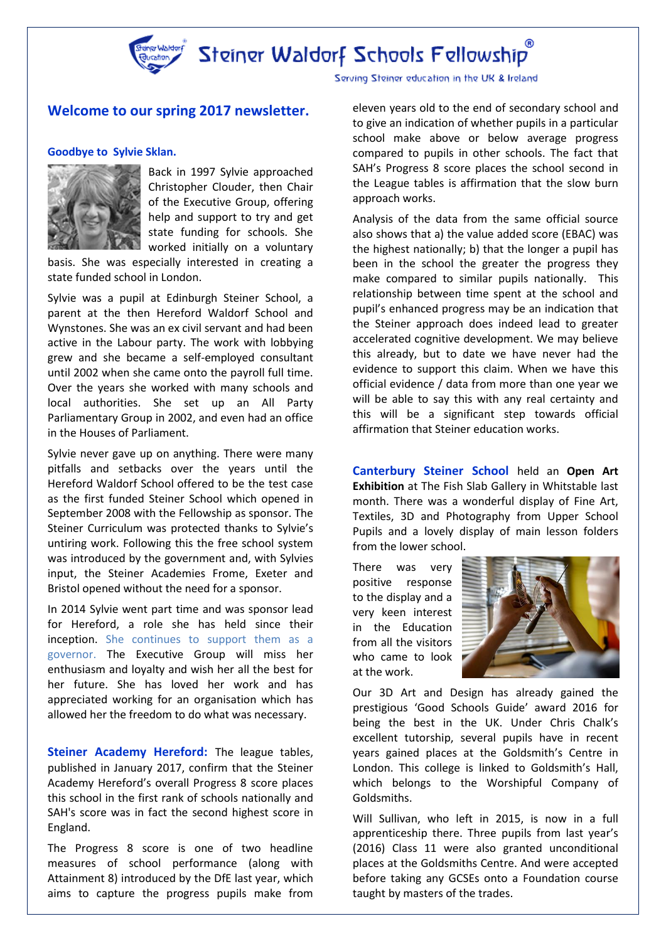

Steiner Waldorf Schools Fellowship

# **Welcome to our spring 2017 newsletter.**

#### **Goodbye to Sylvie Sklan.**



Back in 1997 Sylvie approached Christopher Clouder, then Chair of the Executive Group, offering help and support to try and get state funding for schools. She worked initially on a voluntary

basis. She was especially interested in creating a state funded school in London.

Sylvie was a pupil at Edinburgh Steiner School, a parent at the then Hereford Waldorf School and Wynstones. She was an ex civil servant and had been active in the Labour party. The work with lobbying grew and she became a self-employed consultant until 2002 when she came onto the payroll full time. Over the years she worked with many schools and local authorities. She set up an All Party Parliamentary Group in 2002, and even had an office in the Houses of Parliament.

Sylvie never gave up on anything. There were many pitfalls and setbacks over the years until the Hereford Waldorf School offered to be the test case as the first funded Steiner School which opened in September 2008 with the Fellowship as sponsor. The Steiner Curriculum was protected thanks to Sylvie's untiring work. Following this the free school system was introduced by the government and, with Sylvies input, the Steiner Academies Frome, Exeter and Bristol opened without the need for a sponsor.

In 2014 Sylvie went part time and was sponsor lead for Hereford, a role she has held since their inception. She continues to support them as a governor. The Executive Group will miss her enthusiasm and loyalty and wish her all the best for her future. She has loved her work and has appreciated working for an organisation which has allowed her the freedom to do what was necessary.

**Steiner Academy Hereford:** The league tables, published in January 2017, confirm that the Steiner Academy Hereford's overall Progress 8 score places this school in the first rank of schools nationally and SAH's score was in fact the second highest score in England.

The Progress 8 score is one of two headline measures of school performance (along with Attainment 8) introduced by the DfE last year, which aims to capture the progress pupils make from Serving Steiner education in the UK & Ireland

eleven years old to the end of secondary school and to give an indication of whether pupils in a particular school make above or below average progress compared to pupils in other schools. The fact that SAH's Progress 8 score places the school second in the League tables is affirmation that the slow burn approach works.

Analysis of the data from the same official source also shows that a) the value added score (EBAC) was the highest nationally; b) that the longer a pupil has been in the school the greater the progress they make compared to similar pupils nationally. This relationship between time spent at the school and pupil's enhanced progress may be an indication that the Steiner approach does indeed lead to greater accelerated cognitive development. We may believe this already, but to date we have never had the evidence to support this claim. When we have this official evidence / data from more than one year we will be able to say this with any real certainty and this will be a significant step towards official affirmation that Steiner education works.

**Canterbury Steiner School** held an **Open Art Exhibition** at The Fish Slab Gallery in Whitstable last month. There was a wonderful display of Fine Art, Textiles, 3D and Photography from Upper School Pupils and a lovely display of main lesson folders from the lower school.

There was very positive response to the display and a very keen interest in the Education from all the visitors who came to look at the work.



Our 3D Art and Design has already gained the prestigious 'Good Schools Guide' award 2016 for being the best in the UK. Under Chris Chalk's excellent tutorship, several pupils have in recent years gained places at the Goldsmith's Centre in London. This college is linked to Goldsmith's Hall, which belongs to the Worshipful Company of Goldsmiths.

Will Sullivan, who left in 2015, is now in a full apprenticeship there. Three pupils from last year's (2016) Class 11 were also granted unconditional places at the Goldsmiths Centre. And were accepted before taking any GCSEs onto a Foundation course taught by masters of the trades.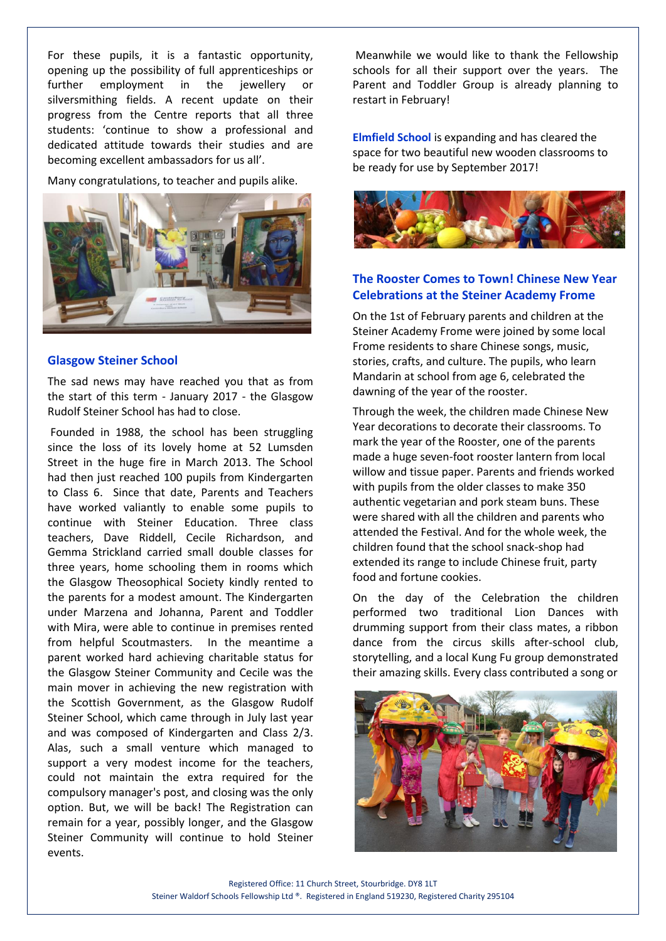For these pupils, it is a fantastic opportunity, opening up the possibility of full apprenticeships or further employment in the jewellery or silversmithing fields. A recent update on their progress from the Centre reports that all three students: 'continue to show a professional and dedicated attitude towards their studies and are becoming excellent ambassadors for us all'.

Many congratulations, to teacher and pupils alike.



# **Glasgow Steiner School**

The sad news may have reached you that as from the start of this term - January 2017 - the Glasgow Rudolf Steiner School has had to close.

Founded in 1988, the school has been struggling since the loss of its lovely home at 52 Lumsden Street in the huge fire in March 2013. The School had then just reached 100 pupils from Kindergarten to Class 6. Since that date, Parents and Teachers have worked valiantly to enable some pupils to continue with Steiner Education. Three class teachers, Dave Riddell, Cecile Richardson, and Gemma Strickland carried small double classes for three years, home schooling them in rooms which the Glasgow Theosophical Society kindly rented to the parents for a modest amount. The Kindergarten under Marzena and Johanna, Parent and Toddler with Mira, were able to continue in premises rented from helpful Scoutmasters. In the meantime a parent worked hard achieving charitable status for the Glasgow Steiner Community and Cecile was the main mover in achieving the new registration with the Scottish Government, as the Glasgow Rudolf Steiner School, which came through in July last year and was composed of Kindergarten and Class 2/3. Alas, such a small venture which managed to support a very modest income for the teachers, could not maintain the extra required for the compulsory manager's post, and closing was the only option. But, we will be back! The Registration can remain for a year, possibly longer, and the Glasgow Steiner Community will continue to hold Steiner events.

Meanwhile we would like to thank the Fellowship schools for all their support over the years. The Parent and Toddler Group is already planning to restart in February!

**Elmfield School** is expanding and has cleared the space for two beautiful new wooden classrooms to be ready for use by September 2017!



# **The Rooster Comes to Town! Chinese New Year Celebrations at the Steiner Academy Frome**

On the 1st of February parents and children at the Steiner Academy Frome were joined by some local Frome residents to share Chinese songs, music, stories, crafts, and culture. The pupils, who learn Mandarin at school from age 6, celebrated the dawning of the year of the rooster.

Through the week, the children made Chinese New Year decorations to decorate their classrooms. To mark the year of the Rooster, one of the parents made a huge seven-foot rooster lantern from local willow and tissue paper. Parents and friends worked with pupils from the older classes to make 350 authentic vegetarian and pork steam buns. These were shared with all the children and parents who attended the Festival. And for the whole week, the children found that the school snack-shop had extended its range to include Chinese fruit, party food and fortune cookies.

On the day of the Celebration the children performed two traditional Lion Dances with drumming support from their class mates, a ribbon dance from the circus skills after-school club, storytelling, and a local Kung Fu group demonstrated their amazing skills. Every class contributed a song or

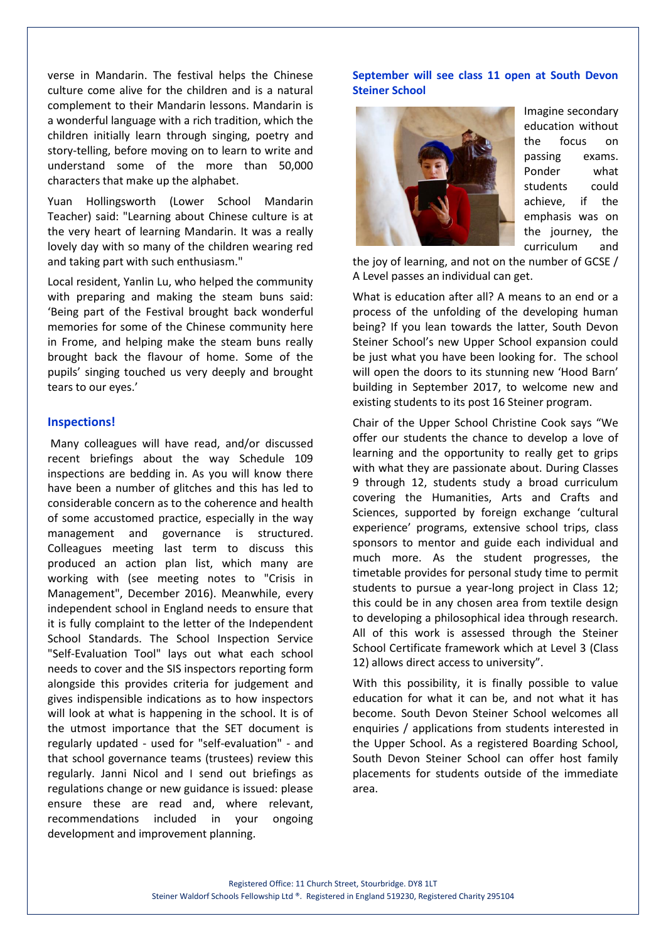verse in Mandarin. The festival helps the Chinese culture come alive for the children and is a natural complement to their Mandarin lessons. Mandarin is a wonderful language with a rich tradition, which the children initially learn through singing, poetry and story-telling, before moving on to learn to write and understand some of the more than 50,000 characters that make up the alphabet.

Yuan Hollingsworth (Lower School Mandarin Teacher) said: "Learning about Chinese culture is at the very heart of learning Mandarin. It was a really lovely day with so many of the children wearing red and taking part with such enthusiasm."

Local resident, Yanlin Lu, who helped the community with preparing and making the steam buns said: 'Being part of the Festival brought back wonderful memories for some of the Chinese community here in Frome, and helping make the steam buns really brought back the flavour of home. Some of the pupils' singing touched us very deeply and brought tears to our eyes.'

### **Inspections!**

Many colleagues will have read, and/or discussed recent briefings about the way Schedule 109 inspections are bedding in. As you will know there have been a number of glitches and this has led to considerable concern as to the coherence and health of some accustomed practice, especially in the way management and governance is structured. Colleagues meeting last term to discuss this produced an action plan list, which many are working with (see meeting notes to "Crisis in Management", December 2016). Meanwhile, every independent school in England needs to ensure that it is fully complaint to the letter of the Independent School Standards. The School Inspection Service "Self-Evaluation Tool" lays out what each school needs to cover and the SIS inspectors reporting form alongside this provides criteria for judgement and gives indispensible indications as to how inspectors will look at what is happening in the school. It is of the utmost importance that the SET document is regularly updated - used for "self-evaluation" - and that school governance teams (trustees) review this regularly. Janni Nicol and I send out briefings as regulations change or new guidance is issued: please ensure these are read and, where relevant, recommendations included in your ongoing development and improvement planning.

### **September will see class 11 open at South Devon Steiner School**



Imagine secondary education without the focus on passing exams. Ponder what students could achieve, if the emphasis was on the journey, the curriculum and

the joy of learning, and not on the number of GCSE / A Level passes an individual can get.

What is education after all? A means to an end or a process of the unfolding of the developing human being? If you lean towards the latter, South Devon Steiner School's new Upper School expansion could be just what you have been looking for. The school will open the doors to its stunning new 'Hood Barn' building in September 2017, to welcome new and existing students to its post 16 Steiner program.

Chair of the Upper School Christine Cook says "We offer our students the chance to develop a love of learning and the opportunity to really get to grips with what they are passionate about. During Classes 9 through 12, students study a broad curriculum covering the Humanities, Arts and Crafts and Sciences, supported by foreign exchange 'cultural experience' programs, extensive school trips, class sponsors to mentor and guide each individual and much more. As the student progresses, the timetable provides for personal study time to permit students to pursue a year-long project in Class 12; this could be in any chosen area from textile design to developing a philosophical idea through research. All of this work is assessed through the Steiner School Certificate framework which at Level 3 (Class 12) allows direct access to university".

With this possibility, it is finally possible to value education for what it can be, and not what it has become. South Devon Steiner School welcomes all enquiries / applications from students interested in the Upper School. As a registered Boarding School, South Devon Steiner School can offer host family placements for students outside of the immediate area.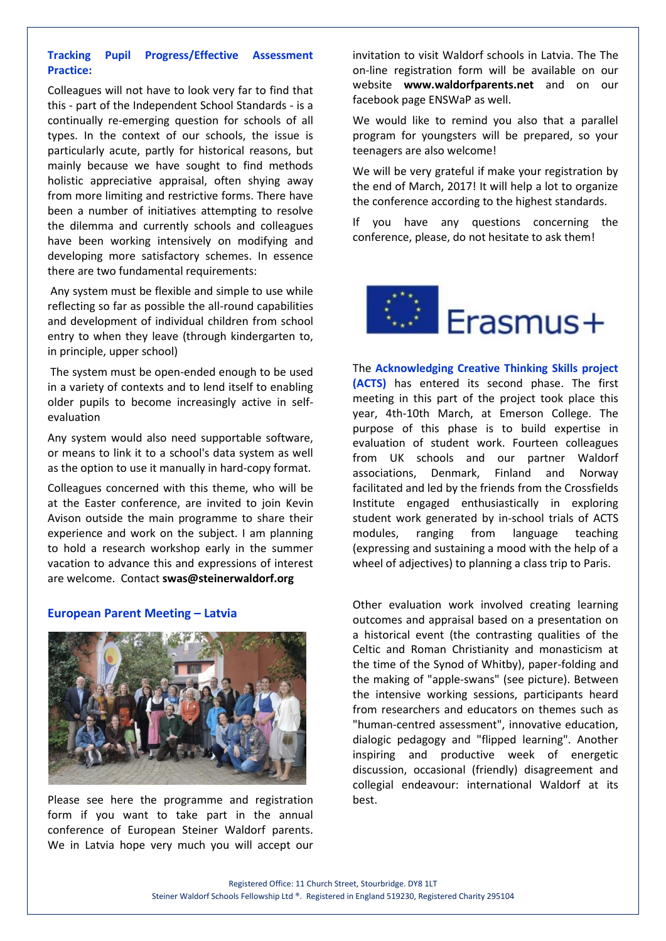## **Tracking Pupil Progress/Effective Assessment Practice:**

Colleagues will not have to look very far to find that this - part of the Independent School Standards - is a continually re-emerging question for schools of all types. In the context of our schools, the issue is particularly acute, partly for historical reasons, but mainly because we have sought to find methods holistic appreciative appraisal, often shying away from more limiting and restrictive forms. There have been a number of initiatives attempting to resolve the dilemma and currently schools and colleagues have been working intensively on modifying and developing more satisfactory schemes. In essence there are two fundamental requirements:

Any system must be flexible and simple to use while reflecting so far as possible the all-round capabilities and development of individual children from school entry to when they leave (through kindergarten to, in principle, upper school)

The system must be open-ended enough to be used in a variety of contexts and to lend itself to enabling older pupils to become increasingly active in selfevaluation

Any system would also need supportable software, or means to link it to a school's data system as well as the option to use it manually in hard-copy format.

Colleagues concerned with this theme, who will be at the Easter conference, are invited to join Kevin Avison outside the main programme to share their experience and work on the subject. I am planning to hold a research workshop early in the summer vacation to advance this and expressions of interest are welcome. Contact **swas@steinerwaldorf.org**

### **European Parent Meeting – Latvia**



Please see here the programme and registration form if you want to take part in the annual conference of European Steiner Waldorf parents. We in Latvia hope very much you will accept our

invitation to visit Waldorf schools in Latvia. The The on-line registration form will be available on our website **www.waldorfparents.net** and on our facebook page ENSWaP as well.

We would like to remind you also that a parallel program for youngsters will be prepared, so your teenagers are also welcome!

We will be very grateful if make your registration by the end of March, 2017! It will help a lot to organize the conference according to the highest standards.

If you have any questions concerning the conference, please, do not hesitate to ask them!



The **Acknowledging Creative Thinking Skills project (ACTS)** has entered its second phase. The first meeting in this part of the project took place this year, 4th-10th March, at Emerson College. The purpose of this phase is to build expertise in evaluation of student work. Fourteen colleagues from UK schools and our partner Waldorf associations, Denmark, Finland and Norway facilitated and led by the friends from the Crossfields Institute engaged enthusiastically in exploring student work generated by in-school trials of ACTS modules, ranging from language teaching (expressing and sustaining a mood with the help of a wheel of adjectives) to planning a class trip to Paris.

Other evaluation work involved creating learning outcomes and appraisal based on a presentation on a historical event (the contrasting qualities of the Celtic and Roman Christianity and monasticism at the time of the Synod of Whitby), paper-folding and the making of "apple-swans" (see picture). Between the intensive working sessions, participants heard from researchers and educators on themes such as "human-centred assessment", innovative education, dialogic pedagogy and "flipped learning". Another inspiring and productive week of energetic discussion, occasional (friendly) disagreement and collegial endeavour: international Waldorf at its best.